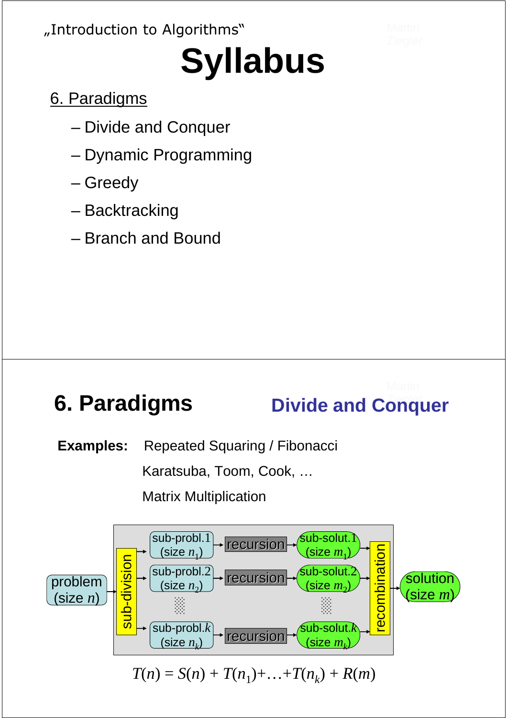#### "Introduction to Algorithms"

# **Syllabus**

- 6. Paradigms
	- Divide and Conquer
	- Dynamic Programming
	- Greedy
	- Backtracking
	- Branch and Bound

## **6. Paradigms bivide and Conquer**

**Examples:** Repeated Squaring / Fibonacci

Karatsuba, Toom, Cook, …

Matrix Multiplication

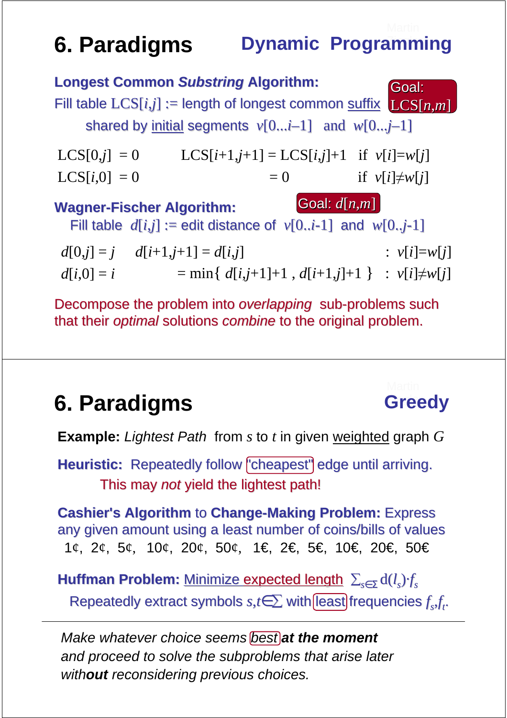### **6. Paradigms Bynamic Programming**

|                                                                                                                       | <b>Longest Common Substring Algorithm:</b>               | Goal:               |
|-----------------------------------------------------------------------------------------------------------------------|----------------------------------------------------------|---------------------|
| Fill table $LCS[i,j] :=$ length of longest common suffix $LCS[n,m]$                                                   |                                                          |                     |
| shared by <u>initial</u> segments $v[0i-1]$ and $w[0j-1]$                                                             |                                                          |                     |
| $LCS[0,j] = 0$                                                                                                        | $LCS[i+1,j+1] = LCS[i,j]+1$ if $v[i]=w[j]$               |                     |
| $LCS[i,0] = 0$                                                                                                        | $= 0$                                                    | if $v[i] \neq w[i]$ |
| Goal: $d[n,m]$<br><b>Wagner-Fischer Algorithm:</b><br>Fill table $d[i,j] :=$ edit distance of $v[0i-1]$ and $w[0j-1]$ |                                                          |                     |
| $d[0,j] = j$ $d[i+1,j+1] = d[i,j]$<br>$d[i,0] = i$                                                                    | $=$ min{ $d[i,j+1]+1$ , $d[i+1,j]+1$ } : $v[i]\neq w[j]$ | : $v[i] = w[j]$     |

Decompose the problem into *overlapping* sub-problems such that their optimal solutions combine to the original problem.

#### **6. Paradigms** Greedy

**Example:** Lightest Path from *s* to *t* in given weighted graph *G*

Heuristic: Repeatedly follow "cheapest" edge until arriving. This may not yield the lightest path!

**Cashier's Algorithm** to **Change-Making Problem:** Express any given amount using a least number of coins/bills of values 1¢, 2¢, 5¢, 10¢, 20¢, 50¢, 1€, 2€, 5€, 10€, 20€, 50€

**Huffman Problem:** Minimize expected length ∑*s*∈Σ d(*l s* )·*f s* Repeatedly extract symbols  $s,t \in \sum$  with **[least]** frequencies  $f_sf_t$ .

Make whatever choice seems **best at the moment** and proceed to solve the subproblems that arise later with**out** reconsidering previous choices.